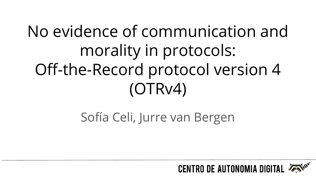# No evidence of communication and morality in protocols: Off-the-Record protocol version 4 (OTRv4)

Sofía Celi, Jurre van Bergen

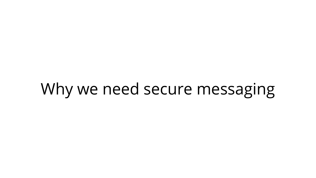## Why we need secure messaging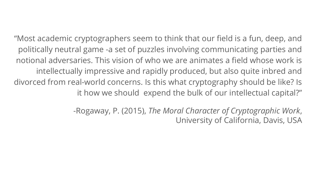"Most academic cryptographers seem to think that our field is a fun, deep, and politically neutral game -a set of puzzles involving communicating parties and notional adversaries. This vision of who we are animates a field whose work is intellectually impressive and rapidly produced, but also quite inbred and divorced from real-world concerns. Is this what cryptography should be like? Is it how we should expend the bulk of our intellectual capital?"

> -Rogaway, P. (2015), *The Moral Character of Cryptographic Work*, University of California, Davis, USA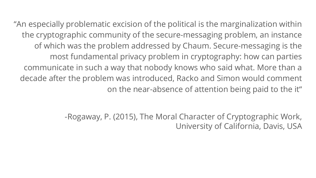"An especially problematic excision of the political is the marginalization within the cryptographic community of the secure-messaging problem, an instance of which was the problem addressed by Chaum. Secure-messaging is the most fundamental privacy problem in cryptography: how can parties communicate in such a way that nobody knows who said what. More than a decade after the problem was introduced, Racko and Simon would comment on the near-absence of attention being paid to the it"

> -Rogaway, P. (2015), The Moral Character of Cryptographic Work, University of California, Davis, USA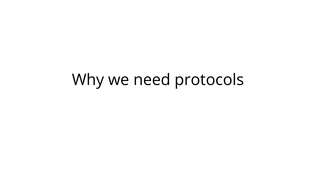## Why we need protocols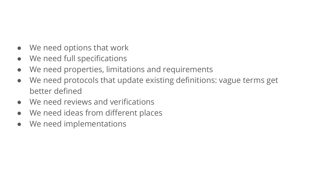- We need options that work
- We need full specifications
- We need properties, limitations and requirements
- We need protocols that update existing definitions: vague terms get better defined
- We need reviews and verifications
- We need ideas from different places
- We need implementations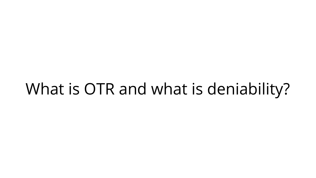## What is OTR and what is deniability?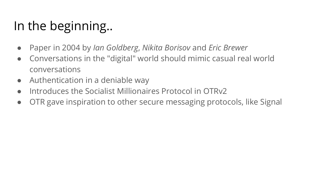### In the beginning..

- Paper in 2004 by *Ian Goldberg*, *Nikita Borisov* and *Eric Brewer*
- Conversations in the "digital" world should mimic casual real world conversations
- Authentication in a deniable way
- Introduces the Socialist Millionaires Protocol in OTRv2
- OTR gave inspiration to other secure messaging protocols, like Signal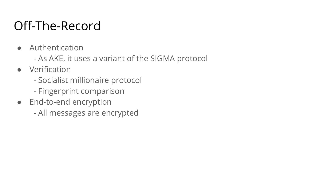### Off-The-Record

- Authentication
	- As AKE, it uses a variant of the SIGMA protocol
- Verification
	- Socialist millionaire protocol
	- Fingerprint comparison
- End-to-end encryption
	- All messages are encrypted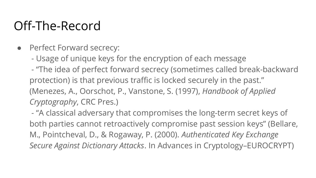### Off-The-Record

- Perfect Forward secrecy:
	- Usage of unique keys for the encryption of each message
	- "The idea of perfect forward secrecy (sometimes called break-backward protection) is that previous traffic is locked securely in the past." (Menezes, A., Oorschot, P., Vanstone, S. (1997), *Handbook of Applied Cryptography*, CRC Pres.)

 - "A classical adversary that compromises the long-term secret keys of both parties cannot retroactively compromise past session keys" (Bellare, M., Pointcheval, D., & Rogaway, P. (2000). *Authenticated Key Exchange Secure Against Dictionary Attacks*. In Advances in Cryptology–EUROCRYPT)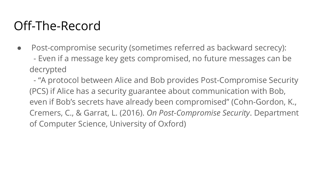### Off-The-Record

• Post-compromise security (sometimes referred as backward secrecy): - Even if a message key gets compromised, no future messages can be decrypted

 - "A protocol between Alice and Bob provides Post-Compromise Security (PCS) if Alice has a security guarantee about communication with Bob, even if Bob's secrets have already been compromised" (Cohn-Gordon, K., Cremers, C., & Garrat, L. (2016). *On Post-Compromise Security*. Department of Computer Science, University of Oxford)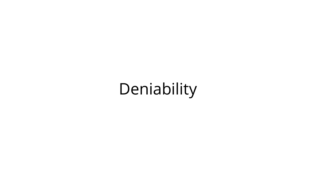# Deniability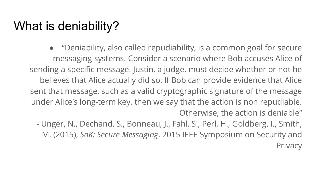#### What is deniability?

● "Deniability, also called repudiability, is a common goal for secure messaging systems. Consider a scenario where Bob accuses Alice of sending a specific message. Justin, a judge, must decide whether or not he believes that Alice actually did so. If Bob can provide evidence that Alice sent that message, such as a valid cryptographic signature of the message under Alice's long-term key, then we say that the action is non repudiable. Otherwise, the action is deniable"

- Unger, N., Dechand, S., Bonneau, J., Fahl, S., Perl, H., Goldberg, I., Smith, M. (2015), *SoK: Secure Messaging*, 2015 IEEE Symposium on Security and **Privacy**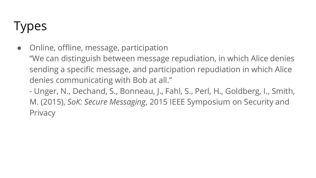### **Types**

- Online, offline, message, participation
	- "We can distinguish between message repudiation, in which Alice denies sending a specific message, and participation repudiation in which Alice denies communicating with Bob at all."

- Unger, N., Dechand, S., Bonneau, J., Fahl, S., Perl, H., Goldberg, I., Smith, M. (2015), *SoK: Secure Messaging*, 2015 IEEE Symposium on Security and **Privacy**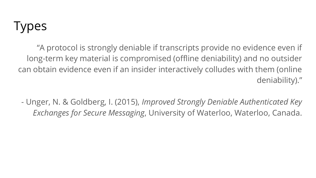### **Types**

"A protocol is strongly deniable if transcripts provide no evidence even if long-term key material is compromised (offline deniability) and no outsider can obtain evidence even if an insider interactively colludes with them (online deniability)."

- Unger, N. & Goldberg, I. (2015), *Improved Strongly Deniable Authenticated Key Exchanges for Secure Messaging*, University of Waterloo, Waterloo, Canada.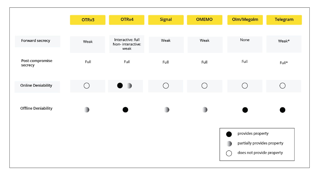|                            | OTR <sub>v3</sub> | OTRv4                                         | <b>Signal</b> | <b>OMEMO</b> | Olm/Megolm                                                                          | <b>Telegram</b> |
|----------------------------|-------------------|-----------------------------------------------|---------------|--------------|-------------------------------------------------------------------------------------|-----------------|
| Forward secrecy            | Weak              | Interactive: full<br>Non-interactive:<br>weak | Weak          | Weak         | None                                                                                | Weak*           |
| Post-compromise<br>secrecy | Full              | Full                                          | Full          | Full         | Full                                                                                | Full*           |
| <b>Online Deniability</b>  | $\bigcirc$        |                                               | $\bigcap$     | ◯            | $\bigcirc$                                                                          | ( )             |
| <b>Offline Deniability</b> |                   |                                               |               |              |                                                                                     |                 |
|                            |                   |                                               |               |              | provides property<br>partially provides property<br>does not provide property<br>Į, |                 |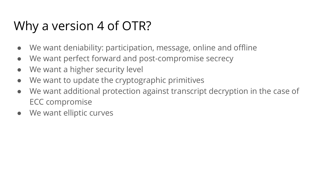### Why a version 4 of OTR?

- We want deniability: participation, message, online and offline
- We want perfect forward and post-compromise secrecy
- We want a higher security level
- We want to update the cryptographic primitives
- We want additional protection against transcript decryption in the case of ECC compromise
- We want elliptic curves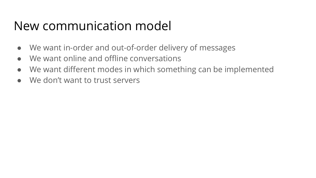#### New communication model

- We want in-order and out-of-order delivery of messages
- We want online and offline conversations
- We want different modes in which something can be implemented
- We don't want to trust servers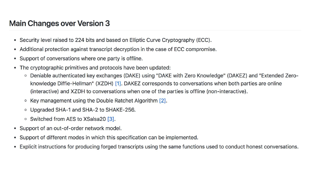#### **Main Changes over Version 3**

- Security level raised to 224 bits and based on Elliptic Curve Cryptography (ECC).  $\bullet$
- Additional protection against transcript decryption in the case of ECC compromise.  $\bullet$
- Support of conversations where one party is offline.  $\bullet$
- The cryptographic primitives and protocols have been updated:
	- Deniable authenticated key exchanges (DAKE) using "DAKE with Zero Knowledge" (DAKEZ) and "Extended Zeroknowledge Diffie-Hellman" (XZDH) [1]. DAKEZ corresponds to conversations when both parties are online (interactive) and XZDH to conversations when one of the parties is offline (non-interactive).
	- Key management using the Double Ratchet Algorithm [2].
	- Upgraded SHA-1 and SHA-2 to SHAKE-256.
	- Switched from AES to XSalsa20 [3].
- Support of an out-of-order network model.
- Support of different modes in which this specification can be implemented.  $\bullet$
- Explicit instructions for producing forged transcripts using the same functions used to conduct honest conversations.  $\bullet$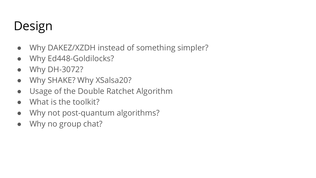### Design

- Why DAKEZ/XZDH instead of something simpler?
- Why Ed448-Goldilocks?
- Why DH-3072?
- Why SHAKE? Why XSalsa20?
- Usage of the Double Ratchet Algorithm
- What is the toolkit?
- Why not post-quantum algorithms?
- Why no group chat?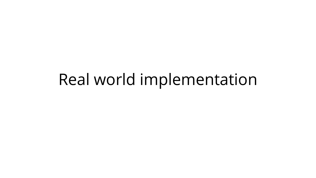### Real world implementation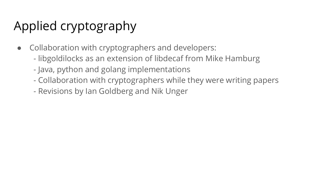### Applied cryptography

- Collaboration with cryptographers and developers:
	- libgoldilocks as an extension of libdecaf from Mike Hamburg
	- Java, python and golang implementations
	- Collaboration with cryptographers while they were writing papers
	- Revisions by Ian Goldberg and Nik Unger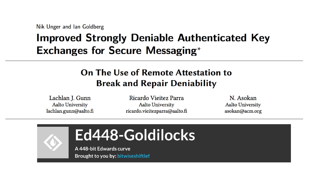Nik Unger and Ian Goldberg

#### **Improved Strongly Deniable Authenticated Key Exchanges for Secure Messaging\***

#### On The Use of Remote Attestation to **Break and Repair Deniability**

Lachlan J. Gunn **Aalto University** lachlan.gunn@aalto.fi

Ricardo Viejtez Parra **Aalto University** ricardo.vieitezparra@aalto.fi

N. Asokan **Aalto University** asokan@acm.org

### Ed448-Goldilocks

A 448-bit Edwards curve Brought to you by: bitwiseshiftlef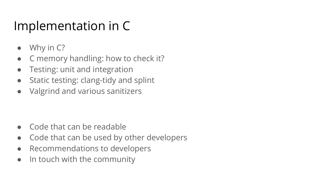### Implementation in C

- Why in C?
- C memory handling: how to check it?
- Testing: unit and integration
- Static testing: clang-tidy and splint
- Valgrind and various sanitizers

- Code that can be readable
- Code that can be used by other developers
- Recommendations to developers
- In touch with the community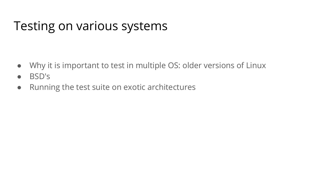### Testing on various systems

- Why it is important to test in multiple OS: older versions of Linux
- BSD's
- Running the test suite on exotic architectures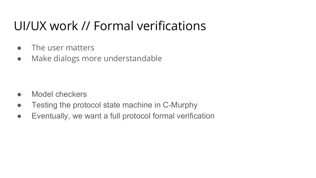### UI/UX work // Formal verifications

- The user matters
- Make dialogs more understandable

- Model checkers
- Testing the protocol state machine in C-Murphy
- Eventually, we want a full protocol formal verification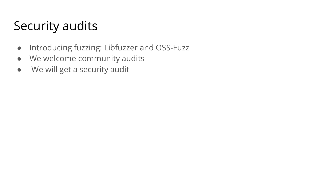### Security audits

- Introducing fuzzing: Libfuzzer and OSS-Fuzz
- We welcome community audits
- We will get a security audit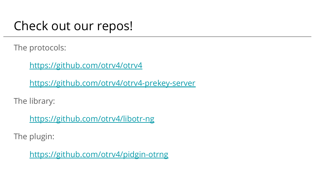### Check out our repos!

The protocols:

<https://github.com/otrv4/otrv4>

<https://github.com/otrv4/otrv4-prekey-server>

The library:

<https://github.com/otrv4/libotr-ng>

The plugin:

<https://github.com/otrv4/pidgin-otrng>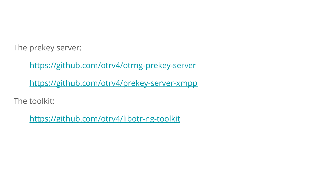The prekey server:

<https://github.com/otrv4/otrng-prekey-server>

<https://github.com/otrv4/prekey-server-xmpp>

The toolkit:

<https://github.com/otrv4/libotr-ng-toolkit>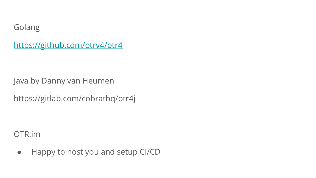Golang

<https://github.com/otrv4/otr4>

Java by Danny van Heumen

https://gitlab.com/cobratbq/otr4j

OTR.im

● Happy to host you and setup CI/CD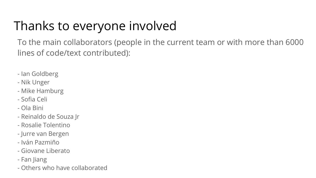### Thanks to everyone involved

To the main collaborators (people in the current team or with more than 6000 lines of code/text contributed):

- Ian Goldberg
- Nik Unger
- Mike Hamburg
- Sofia Celi
- Ola Bini
- Reinaldo de Souza Jr
- Rosalie Tolentino
- Jurre van Bergen
- Iván Pazmiño
- Giovane Liberato
- Fan Jiang
- Others who have collaborated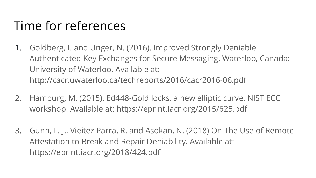### Time for references

- 1. Goldberg, I. and Unger, N. (2016). Improved Strongly Deniable Authenticated Key Exchanges for Secure Messaging, Waterloo, Canada: University of Waterloo. Available at: <http://cacr.uwaterloo.ca/techreports/2016/cacr2016-06.pdf>
- 2. Hamburg, M. (2015). Ed448-Goldilocks, a new elliptic curve, NIST ECC workshop. Available at: <https://eprint.iacr.org/2015/625.pdf>
- 3. Gunn, L. J., Vieitez Parra, R. and Asokan, N. (2018) On The Use of Remote Attestation to Break and Repair Deniability. Available at: <https://eprint.iacr.org/2018/424.pdf>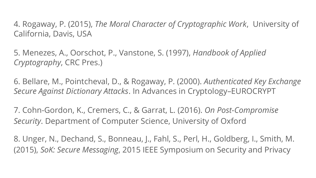4. Rogaway, P. (2015), *The Moral Character of Cryptographic Work*, University of California, Davis, USA

5. Menezes, A., Oorschot, P., Vanstone, S. (1997), *Handbook of Applied Cryptography*, CRC Pres.)

6. Bellare, M., Pointcheval, D., & Rogaway, P. (2000). *Authenticated Key Exchange Secure Against Dictionary Attacks*. In Advances in Cryptology–EUROCRYPT

7. Cohn-Gordon, K., Cremers, C., & Garrat, L. (2016). *On Post-Compromise Security*. Department of Computer Science, University of Oxford

8. Unger, N., Dechand, S., Bonneau, J., Fahl, S., Perl, H., Goldberg, I., Smith, M. (2015), *SoK: Secure Messaging*, 2015 IEEE Symposium on Security and Privacy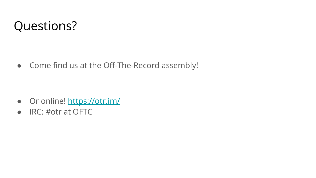### Questions?

● Come find us at the Off-The-Record assembly!

- Or online! <https://otr.im/>
- IRC: #otr at OFTC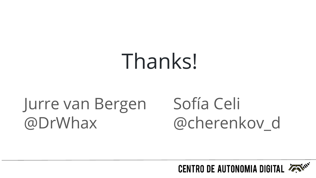# Thanks!

### Jurre van Bergen @DrWhax

# Sofía Celi @cherenkov\_d

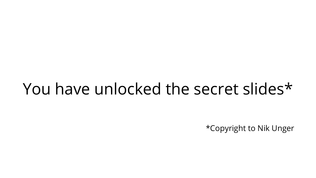### You have unlocked the secret slides\*

\*Copyright to Nik Unger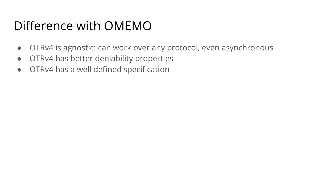### Difference with OMEMO

- OTRv4 is agnostic: can work over any protocol, even asynchronous
- OTRv4 has better deniability properties
- OTRv4 has a well defined specification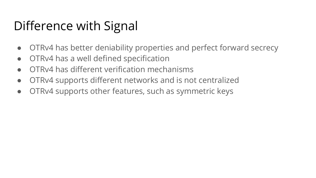### Difference with Signal

- OTRv4 has better deniability properties and perfect forward secrecy
- OTRv4 has a well defined specification
- OTRv4 has different verification mechanisms
- OTRv4 supports different networks and is not centralized
- OTRv4 supports other features, such as symmetric keys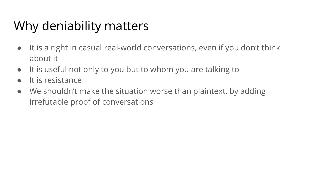### Why deniability matters

- It is a right in casual real-world conversations, even if you don't think about it
- It is useful not only to you but to whom you are talking to
- It is resistance
- We shouldn't make the situation worse than plaintext, by adding irrefutable proof of conversations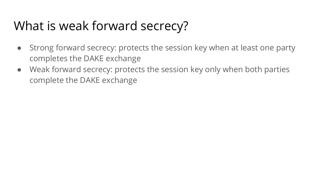### What is weak forward secrecy?

- Strong forward secrecy: protects the session key when at least one party completes the DAKE exchange
- Weak forward secrecy: protects the session key only when both parties complete the DAKE exchange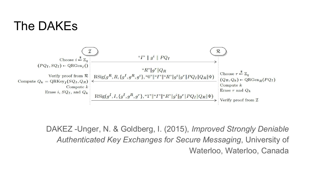#### The DAKEs



DAKEZ -Unger, N. & Goldberg, I. (2015), *Improved Strongly Deniable Authenticated Key Exchanges for Secure Messaging*, University of Waterloo, Waterloo, Canada